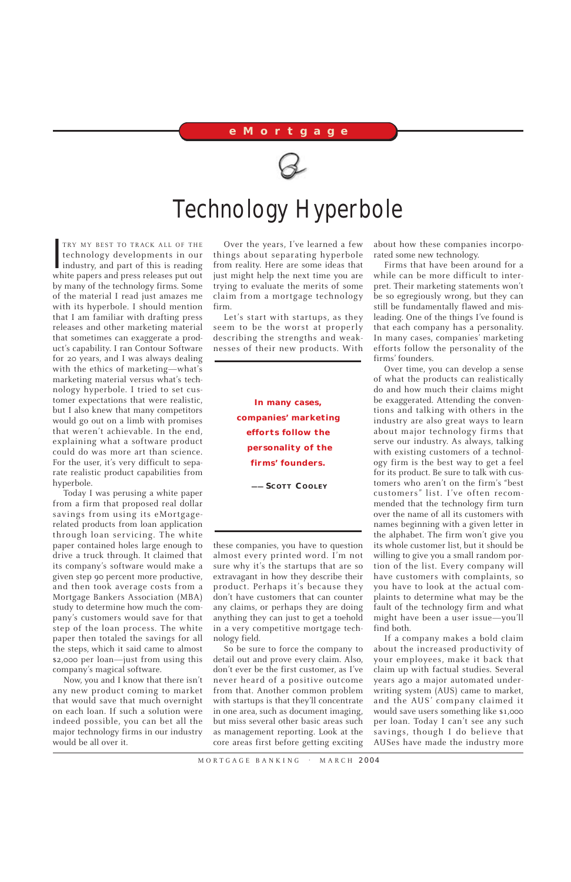$\prod_{w|v}$ TRY MY BEST TO TRACK ALL OF THE technology developments in our industry, and part of this is reading white papers and press releases put out by many of the technology firms. Some of the material I read just amazes me with its hyperbole. I should mention that I am familiar with drafting press releases and other marketing material that sometimes can exaggerate a product's capability. I ran Contour Software for 20 years, and I was always dealing with the ethics of marketing—what's marketing material versus what's technology hyperbole. I tried to set customer expectations that were realistic, but I also knew that many competitors would go out on a limb with promises that weren't achievable. In the end, explaining what a software product could do was more art than science. For the user, it's very difficult to separate realistic product capabilities from hyperbole.

Today I was perusing a white paper from a firm that proposed real dollar savings from using its eMortgagerelated products from loan application through loan servicing. The white paper contained holes large enough to drive a truck through. It claimed that its company's software would make a given step 90 percent more productive, and then took average costs from a Mortgage Bankers Association (MBA) study to determine how much the company's customers would save for that step of the loan process. The white paper then totaled the savings for all the steps, which it said came to almost \$2,000 per loan—just from using this company's magical software. Now, you and I know that there isn't any new product coming to market that would save that much overnight on each loan. If such a solution were indeed possible, you can bet all the major technology firms in our industry would be all over it.

Over the years, I've learned a few things about separating hyperbole from reality. Here are some ideas that just might help the next time you are trying to evaluate the merits of some claim from a mortgage technology firm.

Let's start with startups, as they seem to be the worst at properly describing the strengths and weaknesses of their new products. With

these companies, you have to question almost every printed word. I'm not sure why it's the startups that are so extravagant in how they describe their product. Perhaps it's because they don't have customers that can counter any claims, or perhaps they are doing anything they can just to get a toehold in a very competitive mortgage technology field.

So be sure to force the company to detail out and prove every claim. Also, don't ever be the first customer, as I've never heard of a positive outcome from that. Another common problem with startups is that they'll concentrate in one area, such as document imaging, but miss several other basic areas such as management reporting. Look at the core areas first before getting exciting

about how these companies incorporated some new technology.

Firms that have been around for a while can be more difficult to interpret. Their marketing statements won't be so egregiously wrong, but they can still be fundamentally flawed and misleading. One of the things I've found is that each company has a personality. In many cases, companies' marketing efforts follow the personality of the firms' founders.

Over time, you can develop a sense of what the products can realistically do and how much their claims might be exaggerated. Attending the conventions and talking with others in the industry are also great ways to learn about major technology firms that serve our industry. As always, talking with existing customers of a technology firm is the best way to get a feel for its product. Be sure to talk with customers who aren't on the firm's "best customers" list. I've often recommended that the technology firm turn over the name of all its customers with names beginning with a given letter in the alphabet. The firm won't give you its whole customer list, but it should be willing to give you a small random portion of the list. Every company will have customers with complaints, so you have to look at the actual complaints to determine what may be the fault of the technology firm and what might have been a user issue—you'll find both.

If a company makes a bold claim about the increased productivity of your employees, make it back that claim up with factual studies. Several years ago a major automated underwriting system (AUS) came to market, and the AUS' company claimed it would save users something like \$1,000 per loan. Today I can't see any such savings, though I do believe that AUSes have made the industry more

MORTGAGE BANKING . MARCH 2004

## **eMortgage**



## Technology Hyperbole

**In many cases, companies' marketing efforts follow the personality of the firms' founders.**

**—— SCOTT COOLEY**